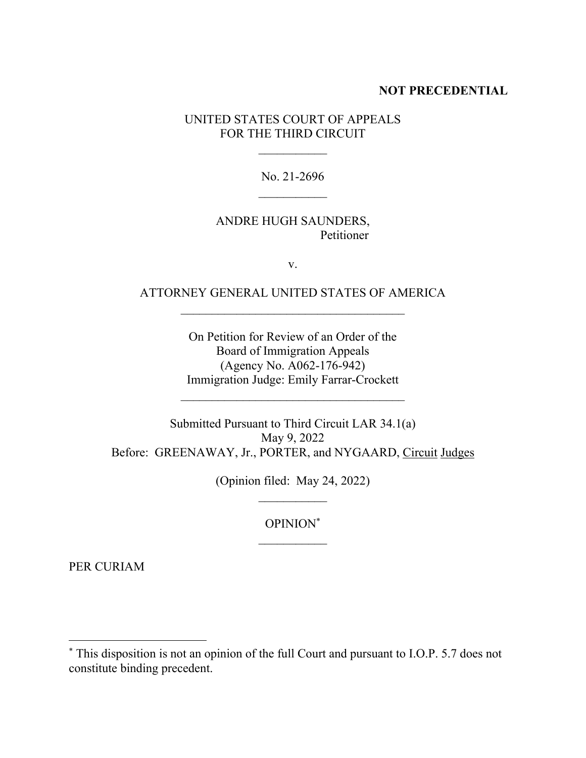## **NOT PRECEDENTIAL**

UNITED STATES COURT OF APPEALS FOR THE THIRD CIRCUIT

> No. 21-2696  $\mathcal{L}_\text{max}$

## ANDRE HUGH SAUNDERS, Petitioner

v.

# ATTORNEY GENERAL UNITED STATES OF AMERICA  $\mathcal{L}_\text{max}$

On Petition for Review of an Order of the Board of Immigration Appeals (Agency No. A062-176-942) Immigration Judge: Emily Farrar-Crockett

 $\mathcal{L}_\text{max}$ 

Submitted Pursuant to Third Circuit LAR 34.1(a) May 9, 2022 Before: GREENAWAY, Jr., PORTER, and NYGAARD, Circuit Judges

(Opinion filed: May 24, 2022)

OPINION\*  $\mathcal{L}_\text{max}$ 

PER CURIAM

<sup>\*</sup> This disposition is not an opinion of the full Court and pursuant to I.O.P. 5.7 does not constitute binding precedent.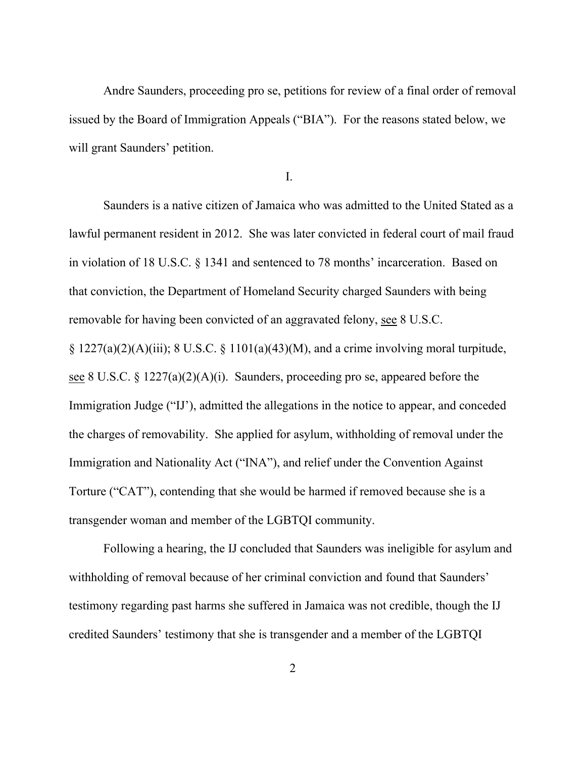Andre Saunders, proceeding pro se, petitions for review of a final order of removal issued by the Board of Immigration Appeals ("BIA"). For the reasons stated below, we will grant Saunders' petition.

I.

Saunders is a native citizen of Jamaica who was admitted to the United Stated as a lawful permanent resident in 2012. She was later convicted in federal court of mail fraud in violation of 18 U.S.C. § 1341 and sentenced to 78 months' incarceration. Based on that conviction, the Department of Homeland Security charged Saunders with being removable for having been convicted of an aggravated felony, see 8 U.S.C. §  $1227(a)(2)(A)(iii)$ ; 8 U.S.C. §  $1101(a)(43)(M)$ , and a crime involving moral turpitude, see 8 U.S.C. § 1227(a)(2)(A)(i). Saunders, proceeding pro se, appeared before the Immigration Judge ("IJ'), admitted the allegations in the notice to appear, and conceded the charges of removability. She applied for asylum, withholding of removal under the Immigration and Nationality Act ("INA"), and relief under the Convention Against Torture ("CAT"), contending that she would be harmed if removed because she is a

transgender woman and member of the LGBTQI community.

Following a hearing, the IJ concluded that Saunders was ineligible for asylum and withholding of removal because of her criminal conviction and found that Saunders' testimony regarding past harms she suffered in Jamaica was not credible, though the IJ credited Saunders' testimony that she is transgender and a member of the LGBTQI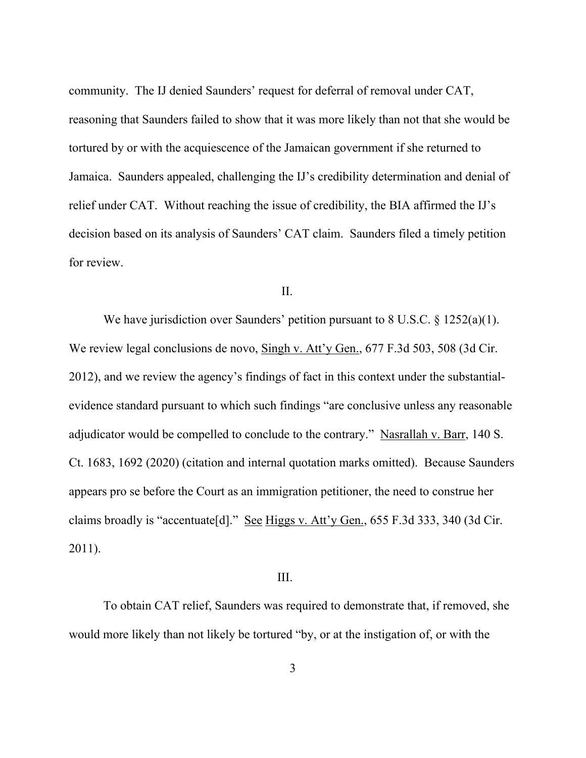community. The IJ denied Saunders' request for deferral of removal under CAT, reasoning that Saunders failed to show that it was more likely than not that she would be tortured by or with the acquiescence of the Jamaican government if she returned to Jamaica. Saunders appealed, challenging the IJ's credibility determination and denial of relief under CAT. Without reaching the issue of credibility, the BIA affirmed the IJ's decision based on its analysis of Saunders' CAT claim. Saunders filed a timely petition for review.

## II.

We have jurisdiction over Saunders' petition pursuant to 8 U.S.C. § 1252(a)(1). We review legal conclusions de novo, Singh v. Att'y Gen., 677 F.3d 503, 508 (3d Cir. 2012), and we review the agency's findings of fact in this context under the substantialevidence standard pursuant to which such findings "are conclusive unless any reasonable adjudicator would be compelled to conclude to the contrary." Nasrallah v. Barr, 140 S. Ct. 1683, 1692 (2020) (citation and internal quotation marks omitted). Because Saunders appears pro se before the Court as an immigration petitioner, the need to construe her claims broadly is "accentuate[d]." See Higgs v. Att'y Gen., 655 F.3d 333, 340 (3d Cir. 2011).

#### III.

To obtain CAT relief, Saunders was required to demonstrate that, if removed, she would more likely than not likely be tortured "by, or at the instigation of, or with the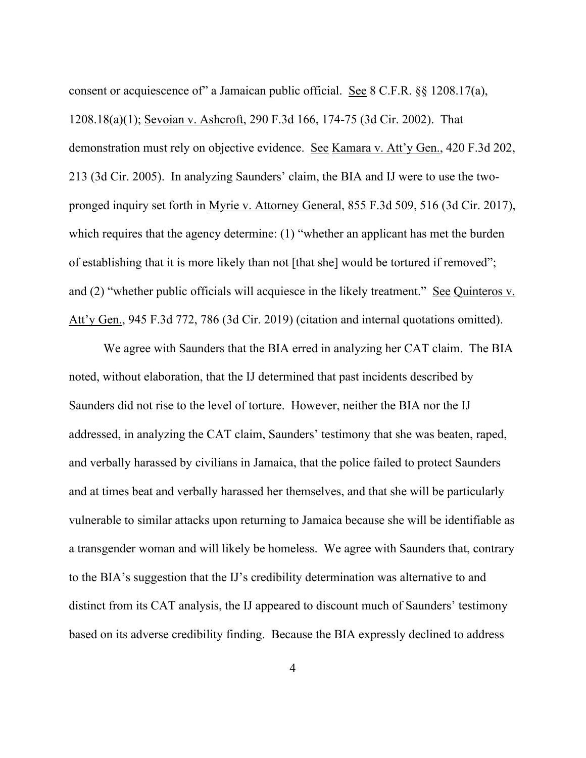consent or acquiescence of" a Jamaican public official. See 8 C.F.R. §§ 1208.17(a), 1208.18(a)(1); Sevoian v. Ashcroft, 290 F.3d 166, 174-75 (3d Cir. 2002). That demonstration must rely on objective evidence. See Kamara v. Att'y Gen., 420 F.3d 202, 213 (3d Cir. 2005). In analyzing Saunders' claim, the BIA and IJ were to use the twopronged inquiry set forth in Myrie v. Attorney General, 855 F.3d 509, 516 (3d Cir. 2017), which requires that the agency determine: (1) "whether an applicant has met the burden of establishing that it is more likely than not [that she] would be tortured if removed"; and (2) "whether public officials will acquiesce in the likely treatment." See Quinteros v. Att'y Gen., 945 F.3d 772, 786 (3d Cir. 2019) (citation and internal quotations omitted).

We agree with Saunders that the BIA erred in analyzing her CAT claim. The BIA noted, without elaboration, that the IJ determined that past incidents described by Saunders did not rise to the level of torture. However, neither the BIA nor the IJ addressed, in analyzing the CAT claim, Saunders' testimony that she was beaten, raped, and verbally harassed by civilians in Jamaica, that the police failed to protect Saunders and at times beat and verbally harassed her themselves, and that she will be particularly vulnerable to similar attacks upon returning to Jamaica because she will be identifiable as a transgender woman and will likely be homeless. We agree with Saunders that, contrary to the BIA's suggestion that the IJ's credibility determination was alternative to and distinct from its CAT analysis, the IJ appeared to discount much of Saunders' testimony based on its adverse credibility finding. Because the BIA expressly declined to address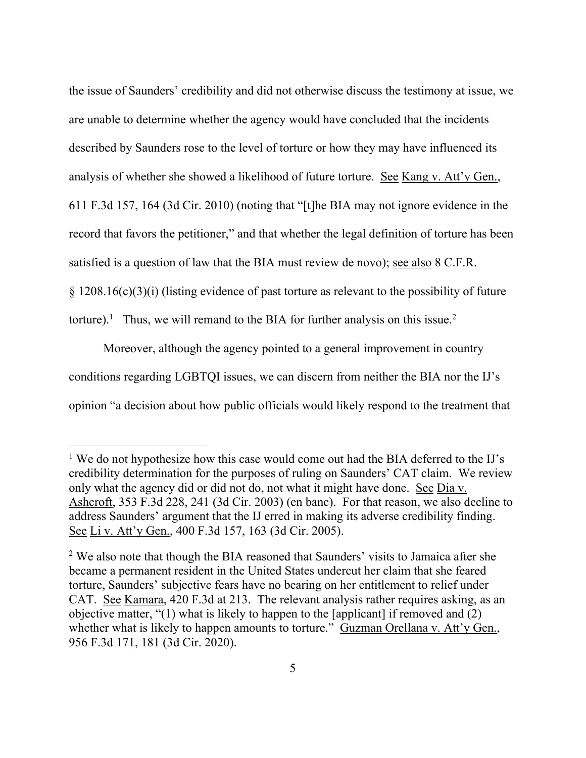the issue of Saunders' credibility and did not otherwise discuss the testimony at issue, we are unable to determine whether the agency would have concluded that the incidents described by Saunders rose to the level of torture or how they may have influenced its analysis of whether she showed a likelihood of future torture. See Kang v. Att'y Gen., 611 F.3d 157, 164 (3d Cir. 2010) (noting that "[t]he BIA may not ignore evidence in the record that favors the petitioner," and that whether the legal definition of torture has been satisfied is a question of law that the BIA must review de novo); see also 8 C.F.R. § 1208.16(c)(3)(i) (listing evidence of past torture as relevant to the possibility of future torture).<sup>1</sup> Thus, we will remand to the BIA for further analysis on this issue.<sup>2</sup>

Moreover, although the agency pointed to a general improvement in country conditions regarding LGBTQI issues, we can discern from neither the BIA nor the IJ's opinion "a decision about how public officials would likely respond to the treatment that

 $<sup>1</sup>$  We do not hypothesize how this case would come out had the BIA deferred to the IJ's</sup> credibility determination for the purposes of ruling on Saunders' CAT claim. We review only what the agency did or did not do, not what it might have done. See Dia v. Ashcroft, 353 F.3d 228, 241 (3d Cir. 2003) (en banc). For that reason, we also decline to address Saunders' argument that the IJ erred in making its adverse credibility finding. See Li v. Att'y Gen., 400 F.3d 157, 163 (3d Cir. 2005).

<sup>&</sup>lt;sup>2</sup> We also note that though the BIA reasoned that Saunders' visits to Jamaica after she became a permanent resident in the United States undercut her claim that she feared torture, Saunders' subjective fears have no bearing on her entitlement to relief under CAT. See Kamara, 420 F.3d at 213. The relevant analysis rather requires asking, as an objective matter, "(1) what is likely to happen to the [applicant] if removed and (2) whether what is likely to happen amounts to torture." Guzman Orellana v. Att'y Gen., 956 F.3d 171, 181 (3d Cir. 2020).